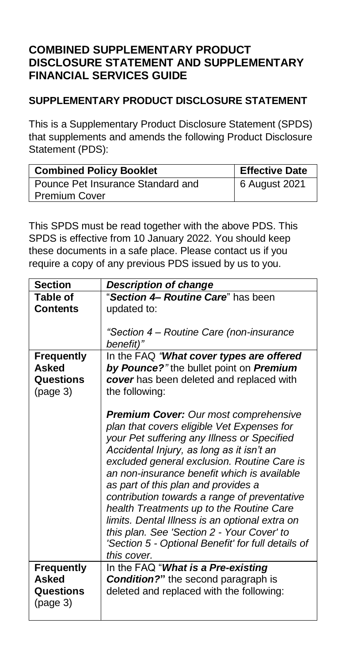## **COMBINED SUPPLEMENTARY PRODUCT DISCLOSURE STATEMENT AND SUPPLEMENTARY FINANCIAL SERVICES GUIDE**

### **SUPPLEMENTARY PRODUCT DISCLOSURE STATEMENT**

This is a Supplementary Product Disclosure Statement (SPDS) that supplements and amends the following Product Disclosure Statement (PDS):

| <b>Combined Policy Booklet</b>    | <b>Effective Date</b> |
|-----------------------------------|-----------------------|
| Pounce Pet Insurance Standard and | 6 August 2021         |
| <b>Premium Cover</b>              |                       |

This SPDS must be read together with the above PDS. This SPDS is effective from 10 January 2022. You should keep these documents in a safe place. Please contact us if you require a copy of any previous PDS issued by us to you.

| <b>Section</b>                                      | <b>Description of change</b>                                                                                                                                                                                                                                                                                                                                                                                                                                                                                                                                                                 |
|-----------------------------------------------------|----------------------------------------------------------------------------------------------------------------------------------------------------------------------------------------------------------------------------------------------------------------------------------------------------------------------------------------------------------------------------------------------------------------------------------------------------------------------------------------------------------------------------------------------------------------------------------------------|
| Table of                                            | "Section 4 Routine Care" has been                                                                                                                                                                                                                                                                                                                                                                                                                                                                                                                                                            |
| Contents                                            | updated to:                                                                                                                                                                                                                                                                                                                                                                                                                                                                                                                                                                                  |
|                                                     | "Section 4 - Routine Care (non-insurance<br>benefit)"                                                                                                                                                                                                                                                                                                                                                                                                                                                                                                                                        |
| <b>Frequently</b>                                   | In the FAQ "What cover types are offered                                                                                                                                                                                                                                                                                                                                                                                                                                                                                                                                                     |
| Asked                                               | by Pounce?" the bullet point on Premium                                                                                                                                                                                                                                                                                                                                                                                                                                                                                                                                                      |
| Questions                                           | cover has been deleted and replaced with                                                                                                                                                                                                                                                                                                                                                                                                                                                                                                                                                     |
| (page 3)                                            | the following:                                                                                                                                                                                                                                                                                                                                                                                                                                                                                                                                                                               |
|                                                     | <b>Premium Cover:</b> Our most comprehensive<br>plan that covers eligible Vet Expenses for<br>your Pet suffering any Illness or Specified<br>Accidental Injury, as long as it isn't an<br>excluded general exclusion. Routine Care is<br>an non-insurance benefit which is available<br>as part of this plan and provides a<br>contribution towards a range of preventative<br>health Treatments up to the Routine Care<br>limits. Dental Illness is an optional extra on<br>this plan. See 'Section 2 - Your Cover' to<br>'Section 5 - Optional Benefit' for full details of<br>this cover. |
| <b>Frequently</b><br>Asked<br>Questions<br>(page 3) | In the FAQ "What is a Pre-existing<br><b>Condition?"</b> the second paragraph is<br>deleted and replaced with the following:                                                                                                                                                                                                                                                                                                                                                                                                                                                                 |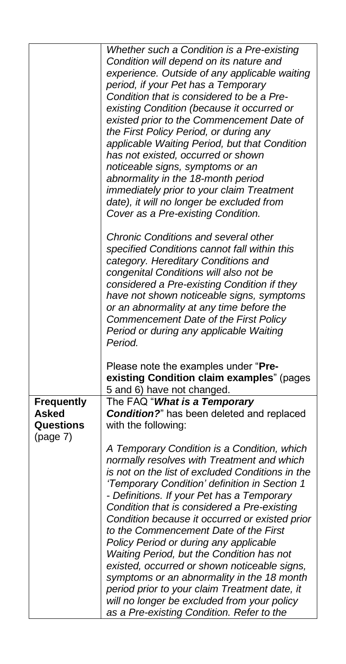|                   | Whether such a Condition is a Pre-existing        |
|-------------------|---------------------------------------------------|
|                   | Condition will depend on its nature and           |
|                   | experience. Outside of any applicable waiting     |
|                   | period, if your Pet has a Temporary               |
|                   | Condition that is considered to be a Pre-         |
|                   | existing Condition (because it occurred or        |
|                   | existed prior to the Commencement Date of         |
|                   | the First Policy Period, or during any            |
|                   | applicable Waiting Period, but that Condition     |
|                   |                                                   |
|                   | has not existed, occurred or shown                |
|                   | noticeable signs, symptoms or an                  |
|                   | abnormality in the 18-month period                |
|                   | immediately prior to your claim Treatment         |
|                   | date), it will no longer be excluded from         |
|                   | Cover as a Pre-existing Condition.                |
|                   |                                                   |
|                   | <b>Chronic Conditions and several other</b>       |
|                   | specified Conditions cannot fall within this      |
|                   | category. Hereditary Conditions and               |
|                   | congenital Conditions will also not be            |
|                   | considered a Pre-existing Condition if they       |
|                   | have not shown noticeable signs, symptoms         |
|                   | or an abnormality at any time before the          |
|                   | Commencement Date of the First Policy             |
|                   | Period or during any applicable Waiting           |
|                   | Period.                                           |
|                   |                                                   |
|                   | Please note the examples under "Pre-              |
|                   | existing Condition claim examples" (pages         |
|                   | 5 and 6) have not changed.                        |
| <b>Frequently</b> | The FAQ "What is a Temporary                      |
| <b>Asked</b>      | <b>Condition?</b> " has been deleted and replaced |
| <b>Questions</b>  | with the following:                               |
| (page 7)          |                                                   |
|                   | A Temporary Condition is a Condition, which       |
|                   | normally resolves with Treatment and which        |
|                   | is not on the list of excluded Conditions in the  |
|                   | 'Temporary Condition' definition in Section 1     |
|                   | - Definitions. If your Pet has a Temporary        |
|                   |                                                   |
|                   | Condition that is considered a Pre-existing       |
|                   | Condition because it occurred or existed prior    |
|                   | to the Commencement Date of the First             |
|                   | Policy Period or during any applicable            |
|                   | Waiting Period, but the Condition has not         |
|                   | existed, occurred or shown noticeable signs,      |
|                   | symptoms or an abnormality in the 18 month        |
|                   | period prior to your claim Treatment date, it     |
|                   | will no longer be excluded from your policy       |
|                   | as a Pre-existing Condition. Refer to the         |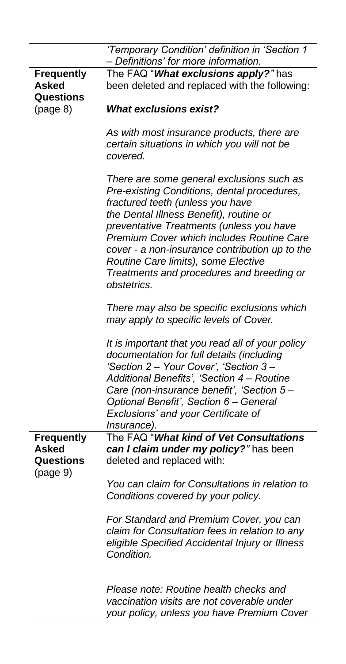|                   | 'Temporary Condition' definition in 'Section 1<br>- Definitions' for more information.                                                                                                                                                                                                                                                                                                                                |
|-------------------|-----------------------------------------------------------------------------------------------------------------------------------------------------------------------------------------------------------------------------------------------------------------------------------------------------------------------------------------------------------------------------------------------------------------------|
| <b>Frequently</b> | The FAQ "What exclusions apply?" has                                                                                                                                                                                                                                                                                                                                                                                  |
| Asked             | been deleted and replaced with the following:                                                                                                                                                                                                                                                                                                                                                                         |
| Questions         |                                                                                                                                                                                                                                                                                                                                                                                                                       |
| (page 8)          | <b>What exclusions exist?</b>                                                                                                                                                                                                                                                                                                                                                                                         |
|                   | As with most insurance products, there are<br>certain situations in which you will not be<br>covered.                                                                                                                                                                                                                                                                                                                 |
|                   | There are some general exclusions such as<br>Pre-existing Conditions, dental procedures,<br>fractured teeth (unless you have<br>the Dental Illness Benefit), routine or<br>preventative Treatments (unless you have<br>Premium Cover which includes Routine Care<br>cover - a non-insurance contribution up to the<br>Routine Care limits), some Elective<br>Treatments and procedures and breeding or<br>obstetrics. |
|                   | There may also be specific exclusions which<br>may apply to specific levels of Cover.                                                                                                                                                                                                                                                                                                                                 |
|                   | It is important that you read all of your policy<br>documentation for full details (including<br>'Section 2 - Your Cover', 'Section 3 -<br>Additional Benefits', 'Section 4 - Routine<br>Care (non-insurance benefit', 'Section 5 -<br>Optional Benefit', Section 6 - General<br>Exclusions' and your Certificate of<br><i>Insurance).</i>                                                                            |
| <b>Frequently</b> | The FAQ "What kind of Vet Consultations                                                                                                                                                                                                                                                                                                                                                                               |
| <b>Asked</b>      | can I claim under my policy?" has been                                                                                                                                                                                                                                                                                                                                                                                |
| Questions         | deleted and replaced with:                                                                                                                                                                                                                                                                                                                                                                                            |
| (page 9)          |                                                                                                                                                                                                                                                                                                                                                                                                                       |
|                   | You can claim for Consultations in relation to<br>Conditions covered by your policy.                                                                                                                                                                                                                                                                                                                                  |
|                   | For Standard and Premium Cover, you can<br>claim for Consultation fees in relation to any<br>eligible Specified Accidental Injury or Illness<br>Condition.                                                                                                                                                                                                                                                            |
|                   | Please note: Routine health checks and<br>vaccination visits are not coverable under<br>your policy, unless you have Premium Cover                                                                                                                                                                                                                                                                                    |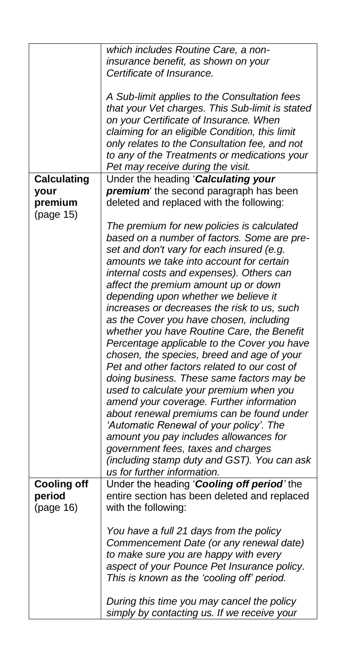|                              | which includes Routine Care, a non-                                                                                                                                                                                                                                                                                               |
|------------------------------|-----------------------------------------------------------------------------------------------------------------------------------------------------------------------------------------------------------------------------------------------------------------------------------------------------------------------------------|
|                              |                                                                                                                                                                                                                                                                                                                                   |
|                              | insurance benefit, as shown on your<br>Certificate of Insurance.                                                                                                                                                                                                                                                                  |
|                              |                                                                                                                                                                                                                                                                                                                                   |
|                              | A Sub-limit applies to the Consultation fees<br>that your Vet charges. This Sub-limit is stated<br>on your Certificate of Insurance. When<br>claiming for an eligible Condition, this limit<br>only relates to the Consultation fee, and not<br>to any of the Treatments or medications your<br>Pet may receive during the visit. |
| <b>Calculating</b>           | Under the heading 'Calculating your                                                                                                                                                                                                                                                                                               |
| your<br>premium<br>(page 15) | premium the second paragraph has been<br>deleted and replaced with the following:                                                                                                                                                                                                                                                 |
|                              | The premium for new policies is calculated                                                                                                                                                                                                                                                                                        |
|                              | based on a number of factors. Some are pre-                                                                                                                                                                                                                                                                                       |
|                              | set and don't vary for each insured (e.g.                                                                                                                                                                                                                                                                                         |
|                              | amounts we take into account for certain                                                                                                                                                                                                                                                                                          |
|                              | internal costs and expenses). Others can                                                                                                                                                                                                                                                                                          |
|                              | affect the premium amount up or down                                                                                                                                                                                                                                                                                              |
|                              | depending upon whether we believe it                                                                                                                                                                                                                                                                                              |
|                              | increases or decreases the risk to us, such                                                                                                                                                                                                                                                                                       |
|                              | as the Cover you have chosen, including                                                                                                                                                                                                                                                                                           |
|                              | whether you have Routine Care, the Benefit                                                                                                                                                                                                                                                                                        |
|                              | Percentage applicable to the Cover you have                                                                                                                                                                                                                                                                                       |
|                              | chosen, the species, breed and age of your                                                                                                                                                                                                                                                                                        |
|                              | Pet and other factors related to our cost of                                                                                                                                                                                                                                                                                      |
|                              | doing business. These same factors may be                                                                                                                                                                                                                                                                                         |
|                              | used to calculate your premium when you                                                                                                                                                                                                                                                                                           |
|                              | amend your coverage. Further information                                                                                                                                                                                                                                                                                          |
|                              | about renewal premiums can be found under                                                                                                                                                                                                                                                                                         |
|                              | 'Automatic Renewal of your policy'. The                                                                                                                                                                                                                                                                                           |
|                              | amount you pay includes allowances for                                                                                                                                                                                                                                                                                            |
|                              | government fees, taxes and charges                                                                                                                                                                                                                                                                                                |
|                              | (including stamp duty and GST). You can ask                                                                                                                                                                                                                                                                                       |
|                              | us for further information.                                                                                                                                                                                                                                                                                                       |
| <b>Cooling off</b>           | Under the heading 'Cooling off period' the                                                                                                                                                                                                                                                                                        |
| period                       | entire section has been deleted and replaced                                                                                                                                                                                                                                                                                      |
| (page 16)                    | with the following:                                                                                                                                                                                                                                                                                                               |
|                              |                                                                                                                                                                                                                                                                                                                                   |
|                              | You have a full 21 days from the policy                                                                                                                                                                                                                                                                                           |
|                              | Commencement Date (or any renewal date)<br>to make sure you are happy with every                                                                                                                                                                                                                                                  |
|                              | aspect of your Pounce Pet Insurance policy.                                                                                                                                                                                                                                                                                       |
|                              | This is known as the 'cooling off' period.                                                                                                                                                                                                                                                                                        |
|                              |                                                                                                                                                                                                                                                                                                                                   |
|                              |                                                                                                                                                                                                                                                                                                                                   |
|                              | During this time you may cancel the policy                                                                                                                                                                                                                                                                                        |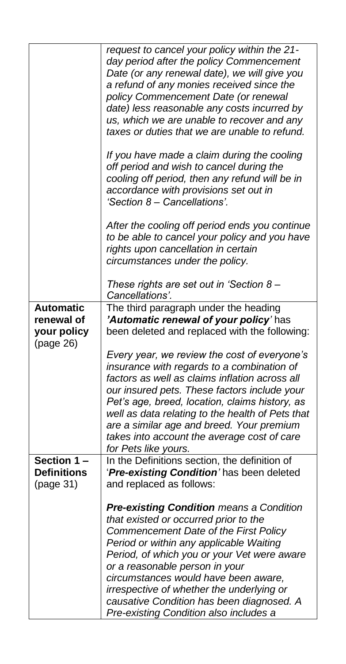|                                                            | request to cancel your policy within the 21-<br>day period after the policy Commencement<br>Date (or any renewal date), we will give you<br>a refund of any monies received since the<br>policy Commencement Date (or renewal<br>date) less reasonable any costs incurred by<br>us, which we are unable to recover and any<br>taxes or duties that we are unable to refund.                                                               |
|------------------------------------------------------------|-------------------------------------------------------------------------------------------------------------------------------------------------------------------------------------------------------------------------------------------------------------------------------------------------------------------------------------------------------------------------------------------------------------------------------------------|
|                                                            | If you have made a claim during the cooling<br>off period and wish to cancel during the<br>cooling off period, then any refund will be in<br>accordance with provisions set out in<br>'Section 8 - Cancellations'.                                                                                                                                                                                                                        |
|                                                            | After the cooling off period ends you continue<br>to be able to cancel your policy and you have<br>rights upon cancellation in certain<br>circumstances under the policy.                                                                                                                                                                                                                                                                 |
|                                                            | These rights are set out in 'Section 8 -<br>Cancellations'.                                                                                                                                                                                                                                                                                                                                                                               |
| <b>Automatic</b><br>renewal of<br>your policy<br>(page 26) | The third paragraph under the heading<br>'Automatic renewal of your policy' has<br>been deleted and replaced with the following:                                                                                                                                                                                                                                                                                                          |
|                                                            | Every year, we review the cost of everyone's<br>insurance with regards to a combination of<br>factors as well as claims inflation across all<br>our insured pets. These factors include your<br>Pet's age, breed, location, claims history, as<br>well as data relating to the health of Pets that<br>are a similar age and breed. Your premium<br>takes into account the average cost of care<br>for Pets like yours.                    |
| Section 1-<br><b>Definitions</b><br>(page 31)              | In the Definitions section, the definition of<br>'Pre-existing Condition' has been deleted<br>and replaced as follows:                                                                                                                                                                                                                                                                                                                    |
|                                                            | <b>Pre-existing Condition means a Condition</b><br>that existed or occurred prior to the<br>Commencement Date of the First Policy<br>Period or within any applicable Waiting<br>Period, of which you or your Vet were aware<br>or a reasonable person in your<br>circumstances would have been aware,<br>irrespective of whether the underlying or<br>causative Condition has been diagnosed. A<br>Pre-existing Condition also includes a |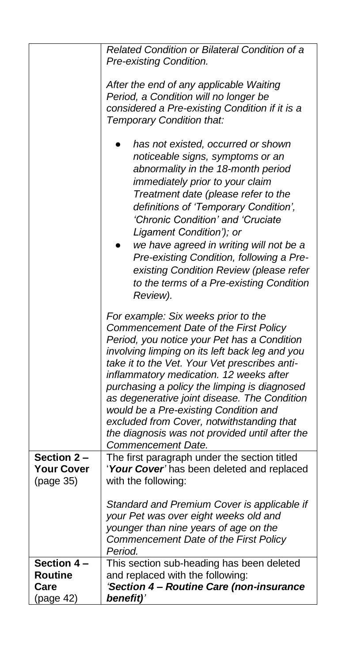|                                                    | <b>Related Condition or Bilateral Condition of a</b><br>Pre-existing Condition.                                                                                                                                                                                                                                                                                                                                                                                                                                                         |
|----------------------------------------------------|-----------------------------------------------------------------------------------------------------------------------------------------------------------------------------------------------------------------------------------------------------------------------------------------------------------------------------------------------------------------------------------------------------------------------------------------------------------------------------------------------------------------------------------------|
|                                                    | After the end of any applicable Waiting<br>Period, a Condition will no longer be<br>considered a Pre-existing Condition if it is a<br>Temporary Condition that:                                                                                                                                                                                                                                                                                                                                                                         |
|                                                    | has not existed, occurred or shown<br>noticeable signs, symptoms or an<br>abnormality in the 18-month period<br>immediately prior to your claim<br>Treatment date (please refer to the<br>definitions of 'Temporary Condition',<br>'Chronic Condition' and 'Cruciate<br>Ligament Condition'); or<br>we have agreed in writing will not be a<br>Pre-existing Condition, following a Pre-<br>existing Condition Review (please refer<br>to the terms of a Pre-existing Condition<br>Review).                                              |
|                                                    | For example: Six weeks prior to the<br>Commencement Date of the First Policy<br>Period, you notice your Pet has a Condition<br>involving limping on its left back leg and you<br>take it to the Vet. Your Vet prescribes anti-<br>inflammatory medication. 12 weeks after<br>purchasing a policy the limping is diagnosed<br>as degenerative joint disease. The Condition<br>would be a Pre-existing Condition and<br>excluded from Cover, notwithstanding that<br>the diagnosis was not provided until after the<br>Commencement Date. |
| Section 2-<br><b>Your Cover</b><br>(page 35)       | The first paragraph under the section titled<br>'Your Cover' has been deleted and replaced<br>with the following:                                                                                                                                                                                                                                                                                                                                                                                                                       |
|                                                    | Standard and Premium Cover is applicable if<br>your Pet was over eight weeks old and<br>younger than nine years of age on the<br>Commencement Date of the First Policy<br>Period.                                                                                                                                                                                                                                                                                                                                                       |
| Section 4 -<br><b>Routine</b><br>Care<br>(page 42) | This section sub-heading has been deleted<br>and replaced with the following:<br>'Section 4 - Routine Care (non-insurance<br>benefit)'                                                                                                                                                                                                                                                                                                                                                                                                  |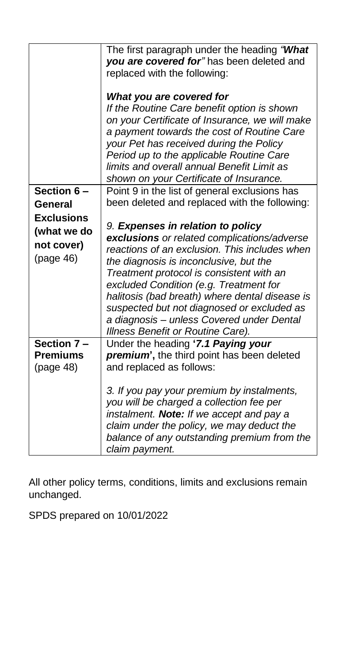|                   | The first paragraph under the heading "What<br>you are covered for" has been deleted and<br>replaced with the following:<br>What you are covered for |
|-------------------|------------------------------------------------------------------------------------------------------------------------------------------------------|
|                   | If the Routine Care benefit option is shown                                                                                                          |
|                   | on your Certificate of Insurance, we will make                                                                                                       |
|                   | a payment towards the cost of Routine Care                                                                                                           |
|                   | your Pet has received during the Policy<br>Period up to the applicable Routine Care                                                                  |
|                   | limits and overall annual Benefit Limit as                                                                                                           |
|                   | shown on your Certificate of Insurance.                                                                                                              |
| Section 6-        | Point 9 in the list of general exclusions has                                                                                                        |
| General           | been deleted and replaced with the following:                                                                                                        |
| <b>Exclusions</b> |                                                                                                                                                      |
| (what we do       | 9. Expenses in relation to policy                                                                                                                    |
| not cover)        | exclusions or related complications/adverse                                                                                                          |
| (page 46)         | reactions of an exclusion. This includes when                                                                                                        |
|                   | the diagnosis is inconclusive, but the                                                                                                               |
|                   | Treatment protocol is consistent with an                                                                                                             |
|                   | excluded Condition (e.g. Treatment for                                                                                                               |
|                   | halitosis (bad breath) where dental disease is                                                                                                       |
|                   | suspected but not diagnosed or excluded as<br>a diagnosis - unless Covered under Dental                                                              |
|                   | Illness Benefit or Routine Care).                                                                                                                    |
| Section 7-        | Under the heading '7.1 Paying your                                                                                                                   |
| <b>Premiums</b>   | premium', the third point has been deleted                                                                                                           |
| (page 48)         | and replaced as follows:                                                                                                                             |
|                   |                                                                                                                                                      |
|                   | 3. If you pay your premium by instalments,                                                                                                           |
|                   | you will be charged a collection fee per                                                                                                             |
|                   | instalment. Note: If we accept and pay a                                                                                                             |
|                   | claim under the policy, we may deduct the                                                                                                            |
|                   | balance of any outstanding premium from the                                                                                                          |
|                   | claim payment.                                                                                                                                       |

All other policy terms, conditions, limits and exclusions remain unchanged.

SPDS prepared on 10/01/2022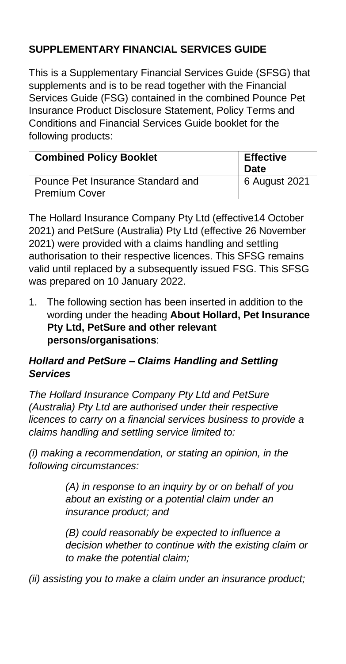# **SUPPLEMENTARY FINANCIAL SERVICES GUIDE**

This is a Supplementary Financial Services Guide (SFSG) that supplements and is to be read together with the Financial Services Guide (FSG) contained in the combined Pounce Pet Insurance Product Disclosure Statement, Policy Terms and Conditions and Financial Services Guide booklet for the following products:

| <b>Combined Policy Booklet</b>                            | <b>Effective</b><br>Date |
|-----------------------------------------------------------|--------------------------|
| Pounce Pet Insurance Standard and<br><b>Premium Cover</b> | 6 August 2021            |

The Hollard Insurance Company Pty Ltd (effective14 October 2021) and PetSure (Australia) Pty Ltd (effective 26 November 2021) were provided with a claims handling and settling authorisation to their respective licences. This SFSG remains valid until replaced by a subsequently issued FSG. This SFSG was prepared on 10 January 2022.

1. The following section has been inserted in addition to the wording under the heading **About Hollard, Pet Insurance Pty Ltd, PetSure and other relevant persons/organisations**:

#### *Hollard and PetSure – Claims Handling and Settling Services*

*The Hollard Insurance Company Pty Ltd and PetSure (Australia) Pty Ltd are authorised under their respective licences to carry on a financial services business to provide a claims handling and settling service limited to:*

*(i) making a recommendation, or stating an opinion, in the following circumstances:* 

> *(A) in response to an inquiry by or on behalf of you about an existing or a potential claim under an insurance product; and*

*(B) could reasonably be expected to influence a decision whether to continue with the existing claim or to make the potential claim;* 

*(ii) assisting you to make a claim under an insurance product;*